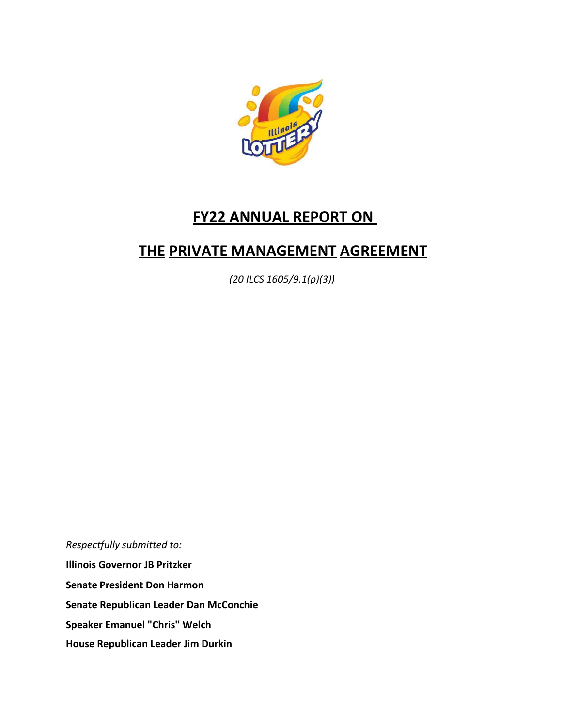

# **FY22 ANNUAL REPORT ON**

# **THE PRIVATE MANAGEMENT AGREEMENT**

*(20 ILCS 1605/9.1(p)(3))*

*Respectfully submitted to:* **Illinois Governor JB Pritzker Senate President Don Harmon Senate Republican Leader Dan McConchie Speaker Emanuel "Chris" Welch House Republican Leader Jim Durkin**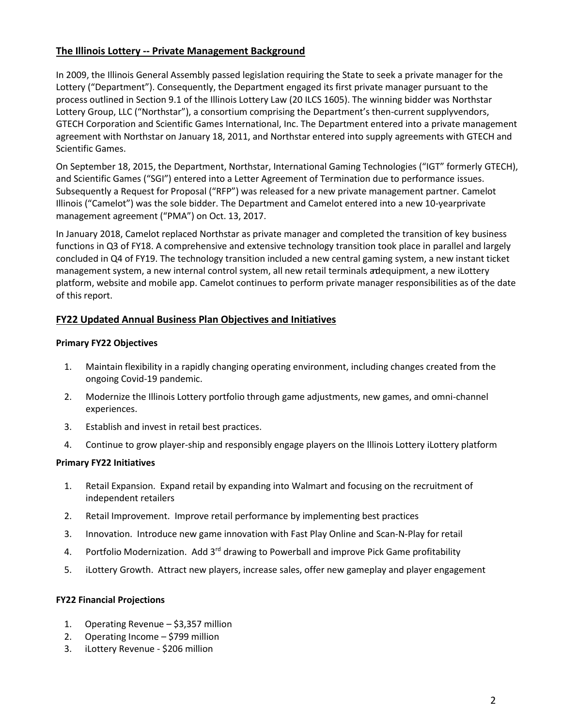# **The Illinois Lottery -- Private Management Background**

In 2009, the Illinois General Assembly passed legislation requiring the State to seek a private manager for the Lottery ("Department"). Consequently, the Department engaged its first private manager pursuant to the process outlined in Section 9.1 of the Illinois Lottery Law (20 ILCS 1605). The winning bidder was Northstar Lottery Group, LLC ("Northstar"), a consortium comprising the Department's then-current supplyvendors, GTECH Corporation and Scientific Games International, Inc. The Department entered into a private management agreement with Northstar on January 18, 2011, and Northstar entered into supply agreements with GTECH and Scientific Games.

On September 18, 2015, the Department, Northstar, International Gaming Technologies ("IGT" formerly GTECH), and Scientific Games ("SGI") entered into a Letter Agreement of Termination due to performance issues. Subsequently a Request for Proposal ("RFP") was released for a new private management partner. Camelot Illinois ("Camelot") was the sole bidder. The Department and Camelot entered into a new 10-yearprivate management agreement ("PMA") on Oct. 13, 2017.

In January 2018, Camelot replaced Northstar as private manager and completed the transition of key business functions in Q3 of FY18. A comprehensive and extensive technology transition took place in parallel and largely concluded in Q4 of FY19. The technology transition included a new central gaming system, a new instant ticket management system, a new internal control system, all new retail terminals andequipment, a new iLottery platform, website and mobile app. Camelot continues to perform private manager responsibilities as of the date of this report.

#### **FY22 Updated Annual Business Plan Objectives and Initiatives**

#### **Primary FY22 Objectives**

- 1. Maintain flexibility in a rapidly changing operating environment, including changes created from the ongoing Covid-19 pandemic.
- 2. Modernize the Illinois Lottery portfolio through game adjustments, new games, and omni-channel experiences.
- 3. Establish and invest in retail best practices.
- 4. Continue to grow player-ship and responsibly engage players on the Illinois Lottery iLottery platform

#### **Primary FY22 Initiatives**

- 1. Retail Expansion. Expand retail by expanding into Walmart and focusing on the recruitment of independent retailers
- 2. Retail Improvement. Improve retail performance by implementing best practices
- 3. Innovation. Introduce new game innovation with Fast Play Online and Scan-N-Play for retail
- 4. Portfolio Modernization. Add 3<sup>rd</sup> drawing to Powerball and improve Pick Game profitability
- 5. iLottery Growth. Attract new players, increase sales, offer new gameplay and player engagement

#### **FY22 Financial Projections**

- 1. Operating Revenue \$3,357 million
- 2. Operating Income \$799 million
- 3. iLottery Revenue \$206 million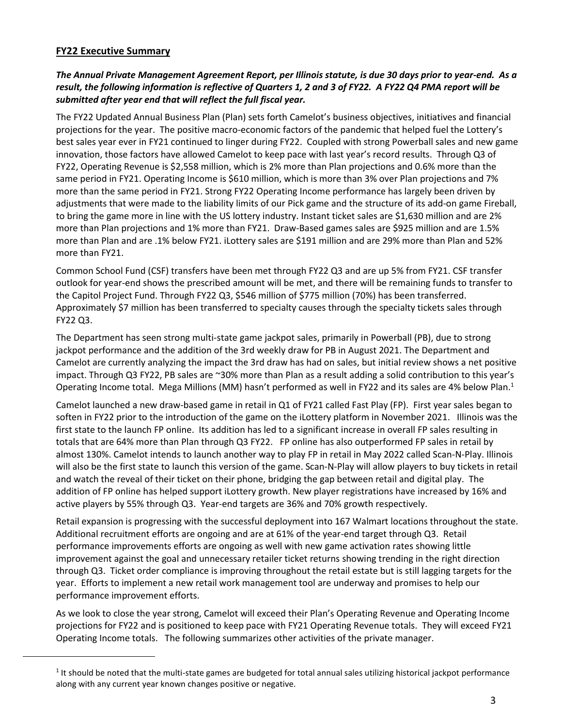## **FY22 Executive Summary**

## *The Annual Private Management Agreement Report, per Illinois statute, is due 30 days prior to year-end. As a result, the following information is reflective of Quarters 1, 2 and 3 of FY22. A FY22 Q4 PMA report will be submitted after year end that will reflect the full fiscal year.*

The FY22 Updated Annual Business Plan (Plan) sets forth Camelot's business objectives, initiatives and financial projections for the year. The positive macro-economic factors of the pandemic that helped fuel the Lottery's best sales year ever in FY21 continued to linger during FY22. Coupled with strong Powerball sales and new game innovation, those factors have allowed Camelot to keep pace with last year's record results. Through Q3 of FY22, Operating Revenue is \$2,558 million, which is 2% more than Plan projections and 0.6% more than the same period in FY21. Operating Income is \$610 million, which is more than 3% over Plan projections and 7% more than the same period in FY21. Strong FY22 Operating Income performance has largely been driven by adjustments that were made to the liability limits of our Pick game and the structure of its add-on game Fireball, to bring the game more in line with the US lottery industry. Instant ticket sales are \$1,630 million and are 2% more than Plan projections and 1% more than FY21. Draw-Based games sales are \$925 million and are 1.5% more than Plan and are .1% below FY21. iLottery sales are \$191 million and are 29% more than Plan and 52% more than FY21.

Common School Fund (CSF) transfers have been met through FY22 Q3 and are up 5% from FY21. CSF transfer outlook for year-end shows the prescribed amount will be met, and there will be remaining funds to transfer to the Capitol Project Fund. Through FY22 Q3, \$546 million of \$775 million (70%) has been transferred. Approximately \$7 million has been transferred to specialty causes through the specialty tickets sales through FY22 Q3.

The Department has seen strong multi-state game jackpot sales, primarily in Powerball (PB), due to strong jackpot performance and the addition of the 3rd weekly draw for PB in August 2021. The Department and Camelot are currently analyzing the impact the 3rd draw has had on sales, but initial review shows a net positive impact. Through Q3 FY22, PB sales are ~30% more than Plan as a result adding a solid contribution to this year's Operating Income total. Mega Millions (MM) hasn't performed as well in FY22 and its sales are 4% below Plan. $1$ 

Camelot launched a new draw-based game in retail in Q1 of FY21 called Fast Play (FP). First year sales began to soften in FY22 prior to the introduction of the game on the iLottery platform in November 2021. Illinois was the first state to the launch FP online. Its addition has led to a significant increase in overall FP sales resulting in totals that are 64% more than Plan through Q3 FY22. FP online has also outperformed FP sales in retail by almost 130%. Camelot intends to launch another way to play FP in retail in May 2022 called Scan-N-Play. Illinois will also be the first state to launch this version of the game. Scan-N-Play will allow players to buy tickets in retail and watch the reveal of their ticket on their phone, bridging the gap between retail and digital play. The addition of FP online has helped support iLottery growth. New player registrations have increased by 16% and active players by 55% through Q3. Year-end targets are 36% and 70% growth respectively.

Retail expansion is progressing with the successful deployment into 167 Walmart locations throughout the state. Additional recruitment efforts are ongoing and are at 61% of the year-end target through Q3. Retail performance improvements efforts are ongoing as well with new game activation rates showing little improvement against the goal and unnecessary retailer ticket returns showing trending in the right direction through Q3. Ticket order compliance is improving throughout the retail estate but is still lagging targets for the year. Efforts to implement a new retail work management tool are underway and promises to help our performance improvement efforts.

As we look to close the year strong, Camelot will exceed their Plan's Operating Revenue and Operating Income projections for FY22 and is positioned to keep pace with FY21 Operating Revenue totals. They will exceed FY21 Operating Income totals. The following summarizes other activities of the private manager.

 $1$  It should be noted that the multi-state games are budgeted for total annual sales utilizing historical jackpot performance along with any current year known changes positive or negative.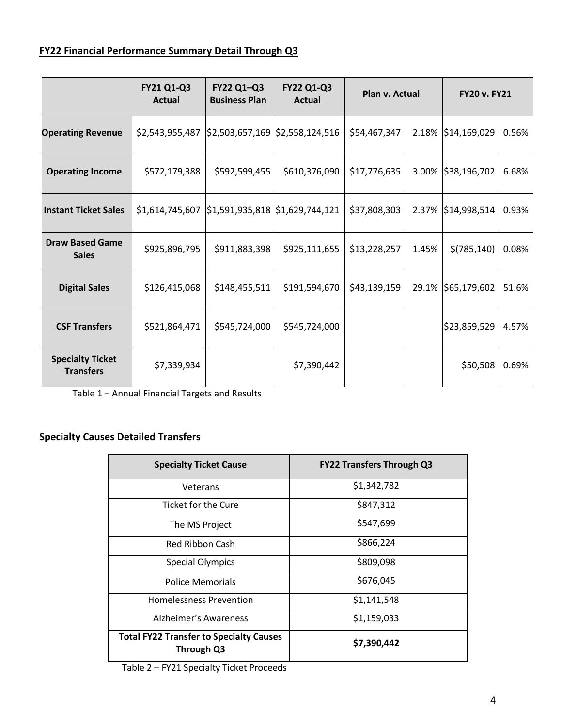# **FY22 Financial Performance Summary Detail Through Q3**

|                                             | FY21 Q1-Q3<br><b>Actual</b> | FY22 Q1-Q3<br><b>Business Plan</b>                      | <b>FY22 Q1-Q3</b><br><b>Actual</b> | Plan v. Actual |       | <b>FY20 v. FY21</b> |       |
|---------------------------------------------|-----------------------------|---------------------------------------------------------|------------------------------------|----------------|-------|---------------------|-------|
| <b>Operating Revenue</b>                    | \$2,543,955,487             |                                                         | \$2,503,657,169 \$2,558,124,516    | \$54,467,347   |       | 2.18% \$14,169,029  | 0.56% |
| <b>Operating Income</b>                     | \$572,179,388               | \$592,599,455                                           | \$610,376,090                      | \$17,776,635   |       | 3.00% \$38,196,702  | 6.68% |
| <b>Instant Ticket Sales</b>                 | \$1,614,745,607             | $\frac{1}{2}$ 1,591,935,818 $\frac{1}{2}$ 1,629,744,121 |                                    | \$37,808,303   |       | 2.37% \$14,998,514  | 0.93% |
| <b>Draw Based Game</b><br><b>Sales</b>      | \$925,896,795               | \$911,883,398                                           | \$925,111,655                      | \$13,228,257   | 1.45% | \$(785, 140)        | 0.08% |
| <b>Digital Sales</b>                        | \$126,415,068               | \$148,455,511                                           | \$191,594,670                      | \$43,139,159   |       | 29.1% \$65,179,602  | 51.6% |
| <b>CSF Transfers</b>                        | \$521,864,471               | \$545,724,000                                           | \$545,724,000                      |                |       | \$23,859,529        | 4.57% |
| <b>Specialty Ticket</b><br><b>Transfers</b> | \$7,339,934                 |                                                         | \$7,390,442                        |                |       | \$50,508            | 0.69% |

Table 1 – Annual Financial Targets and Results

# **Specialty Causes Detailed Transfers**

| <b>Specialty Ticket Cause</b>                                | <b>FY22 Transfers Through Q3</b> |  |
|--------------------------------------------------------------|----------------------------------|--|
| Veterans                                                     | \$1,342,782                      |  |
| Ticket for the Cure                                          | \$847,312                        |  |
| The MS Project                                               | \$547,699                        |  |
| <b>Red Ribbon Cash</b>                                       | \$866,224                        |  |
| <b>Special Olympics</b>                                      | \$809,098                        |  |
| Police Memorials                                             | \$676,045                        |  |
| <b>Homelessness Prevention</b>                               | \$1,141,548                      |  |
| Alzheimer's Awareness                                        | \$1,159,033                      |  |
| <b>Total FY22 Transfer to Specialty Causes</b><br>Through Q3 | \$7,390,442                      |  |

Table 2 – FY21 Specialty Ticket Proceeds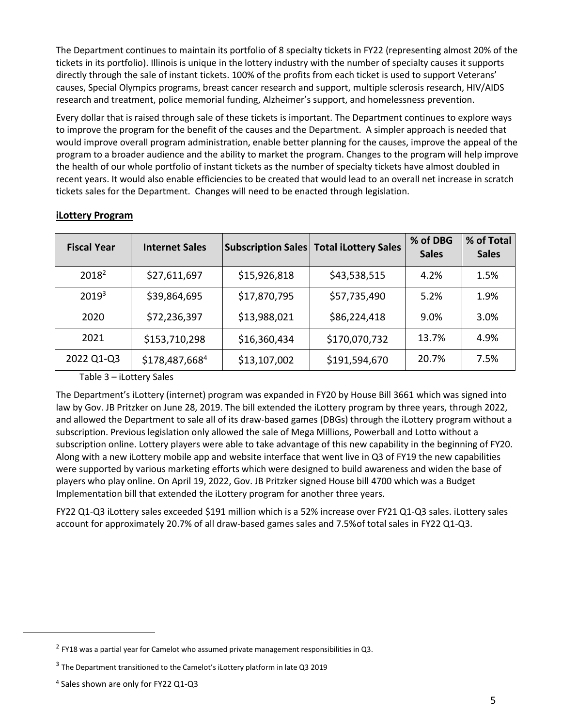The Department continues to maintain its portfolio of 8 specialty tickets in FY22 (representing almost 20% of the tickets in its portfolio). Illinois is unique in the lottery industry with the number of specialty causes it supports directly through the sale of instant tickets. 100% of the profits from each ticket is used to support Veterans' causes, Special Olympics programs, breast cancer research and support, multiple sclerosis research, HIV/AIDS research and treatment, police memorial funding, Alzheimer's support, and homelessness prevention.

Every dollar that is raised through sale of these tickets is important. The Department continues to explore ways to improve the program for the benefit of the causes and the Department. A simpler approach is needed that would improve overall program administration, enable better planning for the causes, improve the appeal of the program to a broader audience and the ability to market the program. Changes to the program will help improve the health of our whole portfolio of instant tickets as the number of specialty tickets have almost doubled in recent years. It would also enable efficiencies to be created that would lead to an overall net increase in scratch tickets sales for the Department. Changes will need to be enacted through legislation.

| <b>Fiscal Year</b> | <b>Internet Sales</b> |              | <b>Subscription Sales   Total iLottery Sales</b> | % of DBG<br><b>Sales</b> | % of Total<br><b>Sales</b> |
|--------------------|-----------------------|--------------|--------------------------------------------------|--------------------------|----------------------------|
| 2018 <sup>2</sup>  | \$27,611,697          | \$15,926,818 | \$43,538,515                                     | 4.2%                     | 1.5%                       |
| 2019 <sup>3</sup>  | \$39,864,695          | \$17,870,795 | \$57,735,490                                     | 5.2%                     | 1.9%                       |
| 2020               | \$72,236,397          | \$13,988,021 | \$86,224,418                                     | 9.0%                     | 3.0%                       |
| 2021               | \$153,710,298         | \$16,360,434 | \$170,070,732                                    | 13.7%                    | 4.9%                       |
| 2022 Q1-Q3         | \$178,487,6684        | \$13,107,002 | \$191,594,670                                    | 20.7%                    | 7.5%                       |

#### **iLottery Program**

Table 3 – iLottery Sales

The Department's iLottery (internet) program was expanded in FY20 by House Bill 3661 which was signed into law by Gov. JB Pritzker on June 28, 2019. The bill extended the iLottery program by three years, through 2022, and allowed the Department to sale all of its draw-based games (DBGs) through the iLottery program without a subscription. Previous legislation only allowed the sale of Mega Millions, Powerball and Lotto without a subscription online. Lottery players were able to take advantage of this new capability in the beginning of FY20. Along with a new iLottery mobile app and website interface that went live in Q3 of FY19 the new capabilities were supported by various marketing efforts which were designed to build awareness and widen the base of players who play online. On April 19, 2022, Gov. JB Pritzker signed House bill 4700 which was a Budget Implementation bill that extended the iLottery program for another three years.

FY22 Q1-Q3 iLottery sales exceeded \$191 million which is a 52% increase over FY21 Q1-Q3 sales. iLottery sales account for approximately 20.7% of all draw-based games sales and 7.5%of total sales in FY22 Q1-Q3.

 $^2$  FY18 was a partial year for Camelot who assumed private management responsibilities in Q3.

 $^3$  The Department transitioned to the Camelot's iLottery platform in late Q3 2019

<sup>4</sup> Sales shown are only for FY22 Q1-Q3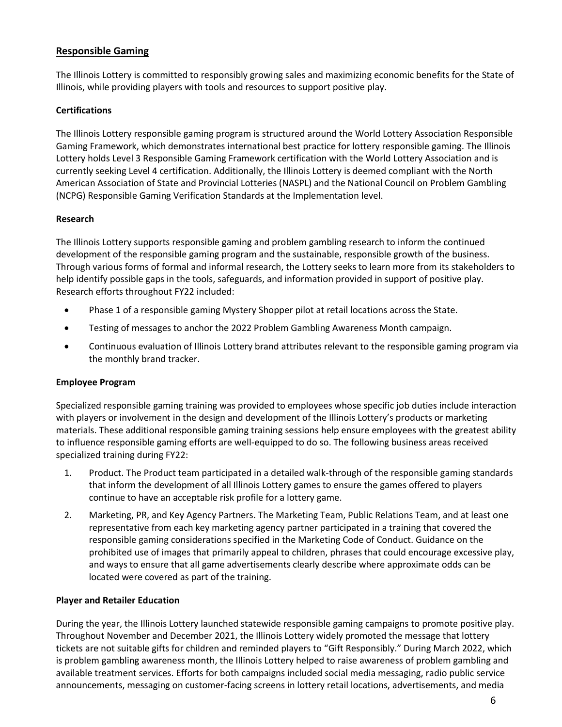# **Responsible Gaming**

The Illinois Lottery is committed to responsibly growing sales and maximizing economic benefits for the State of Illinois, while providing players with tools and resources to support positive play.

#### **Certifications**

The Illinois Lottery responsible gaming program is structured around the World Lottery Association Responsible Gaming Framework, which demonstrates international best practice for lottery responsible gaming. The Illinois Lottery holds Level 3 Responsible Gaming Framework certification with the World Lottery Association and is currently seeking Level 4 certification. Additionally, the Illinois Lottery is deemed compliant with the North American Association of State and Provincial Lotteries (NASPL) and the National Council on Problem Gambling (NCPG) Responsible Gaming Verification Standards at the Implementation level.

#### **Research**

The Illinois Lottery supports responsible gaming and problem gambling research to inform the continued development of the responsible gaming program and the sustainable, responsible growth of the business. Through various forms of formal and informal research, the Lottery seeks to learn more from its stakeholders to help identify possible gaps in the tools, safeguards, and information provided in support of positive play. Research efforts throughout FY22 included:

- Phase 1 of a responsible gaming Mystery Shopper pilot at retail locations across the State.
- Testing of messages to anchor the 2022 Problem Gambling Awareness Month campaign.
- Continuous evaluation of Illinois Lottery brand attributes relevant to the responsible gaming program via the monthly brand tracker.

#### **Employee Program**

Specialized responsible gaming training was provided to employees whose specific job duties include interaction with players or involvement in the design and development of the Illinois Lottery's products or marketing materials. These additional responsible gaming training sessions help ensure employees with the greatest ability to influence responsible gaming efforts are well-equipped to do so. The following business areas received specialized training during FY22:

- 1. Product. The Product team participated in a detailed walk-through of the responsible gaming standards that inform the development of all Illinois Lottery games to ensure the games offered to players continue to have an acceptable risk profile for a lottery game.
- 2. Marketing, PR, and Key Agency Partners. The Marketing Team, Public Relations Team, and at least one representative from each key marketing agency partner participated in a training that covered the responsible gaming considerations specified in the Marketing Code of Conduct. Guidance on the prohibited use of images that primarily appeal to children, phrases that could encourage excessive play, and ways to ensure that all game advertisements clearly describe where approximate odds can be located were covered as part of the training.

#### **Player and Retailer Education**

During the year, the Illinois Lottery launched statewide responsible gaming campaigns to promote positive play. Throughout November and December 2021, the Illinois Lottery widely promoted the message that lottery tickets are not suitable gifts for children and reminded players to "Gift Responsibly." During March 2022, which is problem gambling awareness month, the Illinois Lottery helped to raise awareness of problem gambling and available treatment services. Efforts for both campaigns included social media messaging, radio public service announcements, messaging on customer-facing screens in lottery retail locations, advertisements, and media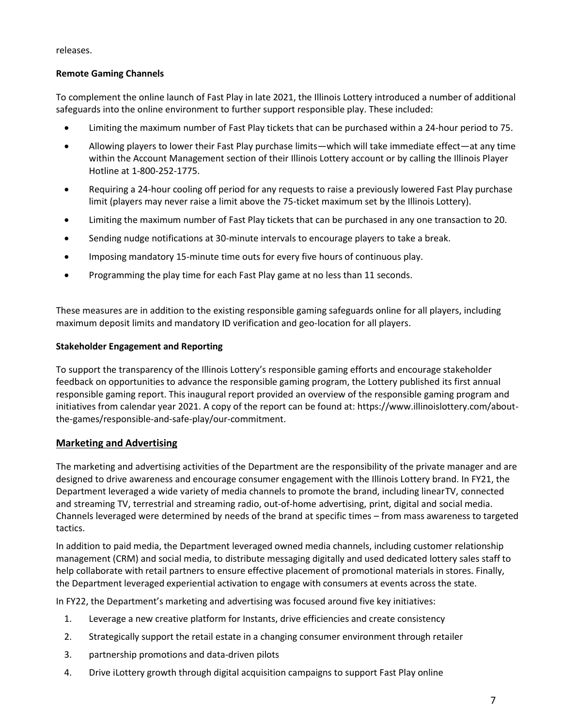releases.

#### **Remote Gaming Channels**

To complement the online launch of Fast Play in late 2021, the Illinois Lottery introduced a number of additional safeguards into the online environment to further support responsible play. These included:

- Limiting the maximum number of Fast Play tickets that can be purchased within a 24-hour period to 75.
- Allowing players to lower their Fast Play purchase limits—which will take immediate effect—at any time within the Account Management section of their Illinois Lottery account or by calling the Illinois Player Hotline at 1-800-252-1775.
- Requiring a 24-hour cooling off period for any requests to raise a previously lowered Fast Play purchase limit (players may never raise a limit above the 75-ticket maximum set by the Illinois Lottery).
- Limiting the maximum number of Fast Play tickets that can be purchased in any one transaction to 20.
- Sending nudge notifications at 30-minute intervals to encourage players to take a break.
- Imposing mandatory 15-minute time outs for every five hours of continuous play.
- Programming the play time for each Fast Play game at no less than 11 seconds.

These measures are in addition to the existing responsible gaming safeguards online for all players, including maximum deposit limits and mandatory ID verification and geo-location for all players.

#### **Stakeholder Engagement and Reporting**

To support the transparency of the Illinois Lottery's responsible gaming efforts and encourage stakeholder feedback on opportunities to advance the responsible gaming program, the Lottery published its first annual responsible gaming report. This inaugural report provided an overview of the responsible gaming program and initiatives from calendar year 2021. A copy of the report can be found at: https://www.illinoislottery.com/aboutthe-games/responsible-and-safe-play/our-commitment.

## **Marketing and Advertising**

The marketing and advertising activities of the Department are the responsibility of the private manager and are designed to drive awareness and encourage consumer engagement with the Illinois Lottery brand. In FY21, the Department leveraged a wide variety of media channels to promote the brand, including linear TV, connected and streaming TV, terrestrial and streaming radio, out-of-home advertising, print, digital and social media. Channels leveraged were determined by needs of the brand at specific times – from mass awareness to targeted tactics.

In addition to paid media, the Department leveraged owned media channels, including customer relationship management (CRM) and social media, to distribute messaging digitally and used dedicated lottery sales staff to help collaborate with retail partners to ensure effective placement of promotional materials in stores. Finally, the Department leveraged experiential activation to engage with consumers at events across the state.

In FY22, the Department's marketing and advertising was focused around five key initiatives:

- 1. Leverage a new creative platform for Instants, drive efficiencies and create consistency
- 2. Strategically support the retail estate in a changing consumer environment through retailer
- 3. partnership promotions and data-driven pilots
- 4. Drive iLottery growth through digital acquisition campaigns to support Fast Play online